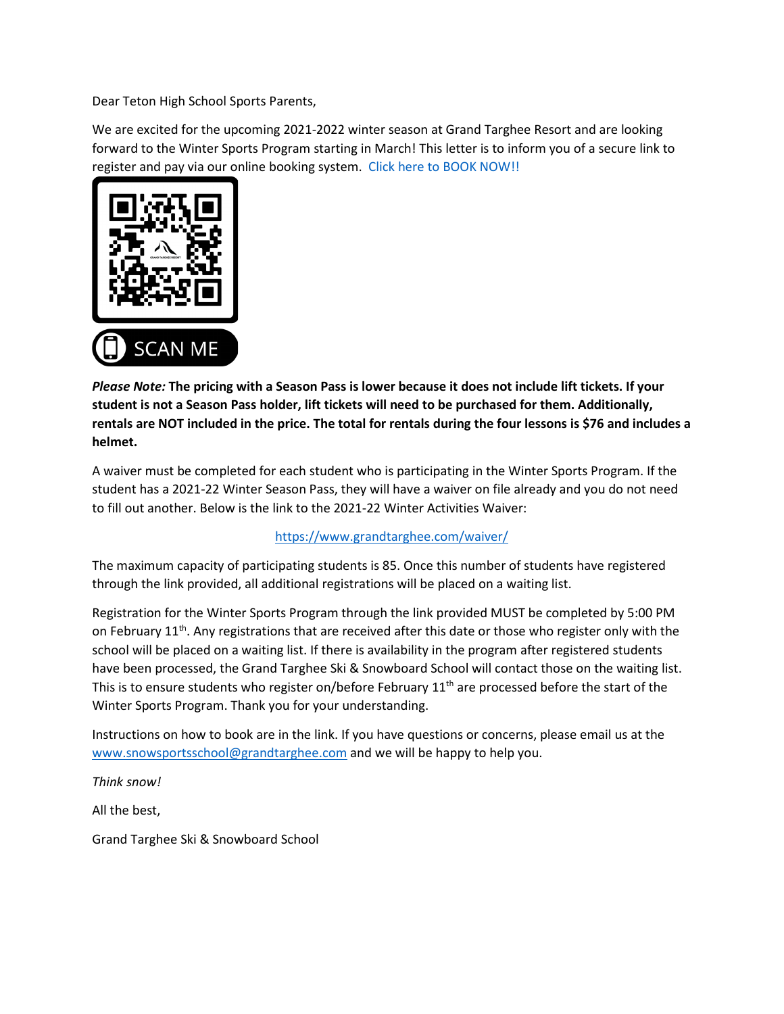Dear Teton High School Sports Parents,

We are excited for the upcoming 2021-2022 winter season at Grand Targhee Resort and are looking forward to the Winter Sports Program starting in March! This letter is to inform you of a secure link to register and pay via our online booking system. [Click here to BOOK NOW!!](https://www.inntopia.travel/ecomm/package/packagebuilder/8133043/en-us/?packageid=63563&startDate=2022-03-02&endDate=2022-03-03&adultcount=1&childCount=1&forceChoice=0&childAgeArray=&promocode=tetonhsws21.22) 



*Please Note:* **The pricing with a Season Pass is lower because it does not include lift tickets. If your student is not a Season Pass holder, lift tickets will need to be purchased for them. Additionally, rentals are NOT included in the price. The total for rentals during the four lessons is \$76 and includes a helmet.** 

A waiver must be completed for each student who is participating in the Winter Sports Program. If the student has a 2021-22 Winter Season Pass, they will have a waiver on file already and you do not need to fill out another. Below is the link to the 2021-22 Winter Activities Waiver:

## <https://www.grandtarghee.com/waiver/>

The maximum capacity of participating students is 85. Once this number of students have registered through the link provided, all additional registrations will be placed on a waiting list.

Registration for the Winter Sports Program through the link provided MUST be completed by 5:00 PM on February 11<sup>th</sup>. Any registrations that are received after this date or those who register only with the school will be placed on a waiting list. If there is availability in the program after registered students have been processed, the Grand Targhee Ski & Snowboard School will contact those on the waiting list. This is to ensure students who register on/before February  $11<sup>th</sup>$  are processed before the start of the Winter Sports Program. Thank you for your understanding.

Instructions on how to book are in the link. If you have questions or concerns, please email us at the [www.snowsportsschool@grandtarghee.com](http://www.snowsportsschool@grandtarghee.com) and we will be happy to help you.

*Think snow!* 

All the best,

Grand Targhee Ski & Snowboard School